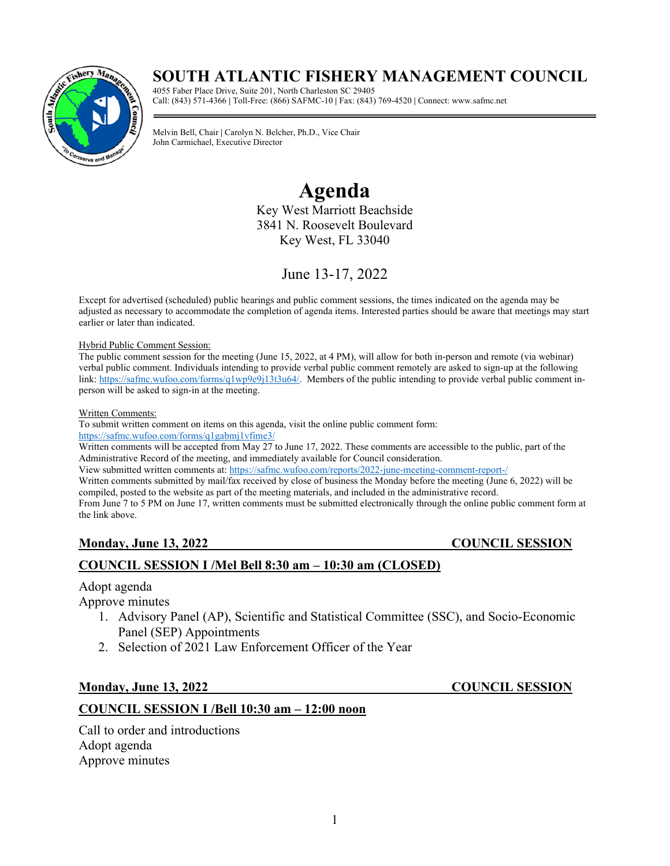# **SOUTH ATLANTIC FISHERY MANAGEMENT COUNCIL**



4055 Faber Place Drive, Suite 201, North Charleston SC 29405 Call: (843) 571-4366 **|** Toll-Free: (866) SAFMC-10 **|** Fax: (843) 769-4520 **|** Connect: www.safmc.net

**SAFMC June 2022 Meeting**  John Carmichael, Executive Director Melvin Bell, Chair **|** Carolyn N. Belcher, Ph.D., Vice Chair

# **Agenda**

Key West Marriott Beachside 3841 N. Roosevelt Boulevard Key West, FL 33040

June 13-17, 2022

Except for advertised (scheduled) public hearings and public comment sessions, the times indicated on the agenda may be adjusted as necessary to accommodate the completion of agenda items. Interested parties should be aware that meetings may start earlier or later than indicated.

#### Hybrid Public Comment Session:

The public comment session for the meeting (June 15, 2022, at 4 PM), will allow for both in-person and remote (via webinar) verbal public comment. Individuals intending to provide verbal public comment remotely are asked to sign-up at the following link: [https://safmc.wufoo.com/forms/q1wp9e9j13t3u64/.](https://safmc.wufoo.com/forms/q1wp9e9j13t3u64/) Members of the public intending to provide verbal public comment inperson will be asked to sign-in at the meeting.

Written Comments:

To submit written comment on items on this agenda, visit the online public comment form:

<https://safmc.wufoo.com/forms/q1gabmj1vfime3/>

Written comments will be accepted from May 27 to June 17, 2022. These comments are accessible to the public, part of the Administrative Record of the meeting, and immediately available for Council consideration.

View submitted written comments at[: https://safmc.wufoo.com/reports/2022-june-meeting-comment-report-/](https://safmc.wufoo.com/reports/2022-june-meeting-comment-report-/)

Written comments submitted by mail/fax received by close of business the Monday before the meeting (June 6, 2022) will be compiled, posted to the website as part of the meeting materials, and included in the administrative record.

From June 7 to 5 PM on June 17, written comments must be submitted electronically through the online public comment form at the link above.

### **Monday, June 13, 2022 COUNCIL SESSION**

### **COUNCIL SESSION I /Mel Bell 8:30 am – 10:30 am (CLOSED)**

#### Adopt agenda

Approve minutes

- 1. Advisory Panel (AP), Scientific and Statistical Committee (SSC), and Socio-Economic Panel (SEP) Appointments
- 2. Selection of 2021 Law Enforcement Officer of the Year

### **Monday, June 13, 2022 COUNCIL SESSION**

### **COUNCIL SESSION I /Bell 10:30 am – 12:00 noon**

Call to order and introductions Adopt agenda Approve minutes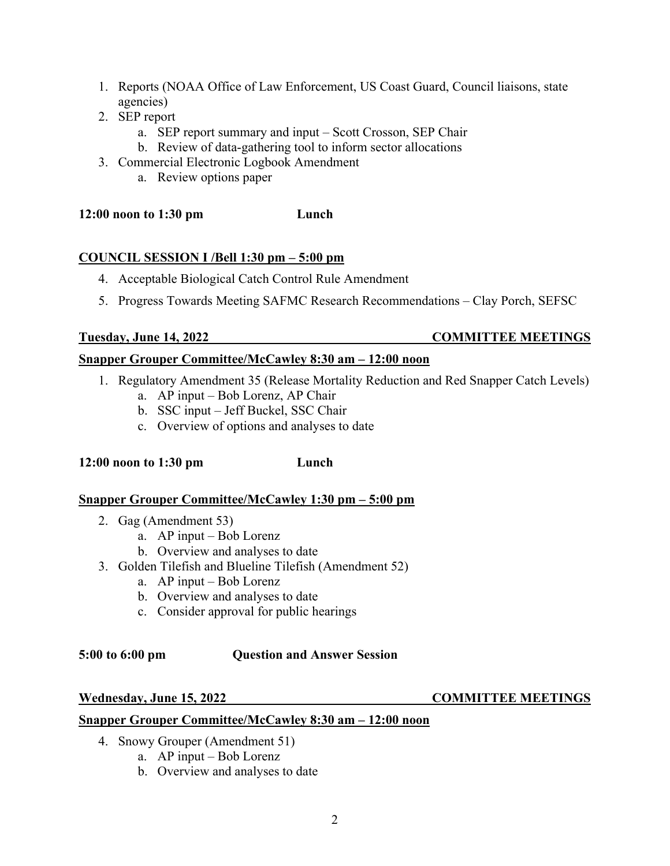- 1. Reports (NOAA Office of Law Enforcement, US Coast Guard, Council liaisons, state agencies)
- 2. SEP report
	- a. SEP report summary and input Scott Crosson, SEP Chair
	- b. Review of data-gathering tool to inform sector allocations
- 3. Commercial Electronic Logbook Amendment
	- a. Review options paper

**12:00 noon to 1:30 pm Lunch**

#### **COUNCIL SESSION I /Bell 1:30 pm – 5:00 pm**

- 4. Acceptable Biological Catch Control Rule Amendment
- 5. Progress Towards Meeting SAFMC Research Recommendations Clay Porch, SEFSC

#### **Tuesday, June 14, 2022 COMMITTEE MEETINGS**

### **Snapper Grouper Committee/McCawley 8:30 am – 12:00 noon**

- 1. Regulatory Amendment 35 (Release Mortality Reduction and Red Snapper Catch Levels)
	- a. AP input Bob Lorenz, AP Chair
	- b. SSC input Jeff Buckel, SSC Chair
	- c. Overview of options and analyses to date

#### **12:00 noon to 1:30 pm Lunch**

## **Snapper Grouper Committee/McCawley 1:30 pm – 5:00 pm**

- 2. Gag (Amendment 53)
	- a. AP input Bob Lorenz
	- b. Overview and analyses to date
- 3. Golden Tilefish and Blueline Tilefish (Amendment 52)
	- a. AP input Bob Lorenz
	- b. Overview and analyses to date
	- c. Consider approval for public hearings

#### **5:00 to 6:00 pm Question and Answer Session**

#### Wednesday, June 15, 2022 COMMITTEE MEETINGS

#### **Snapper Grouper Committee/McCawley 8:30 am – 12:00 noon**

- 4. Snowy Grouper (Amendment 51)
	- a. AP input Bob Lorenz
	- b. Overview and analyses to date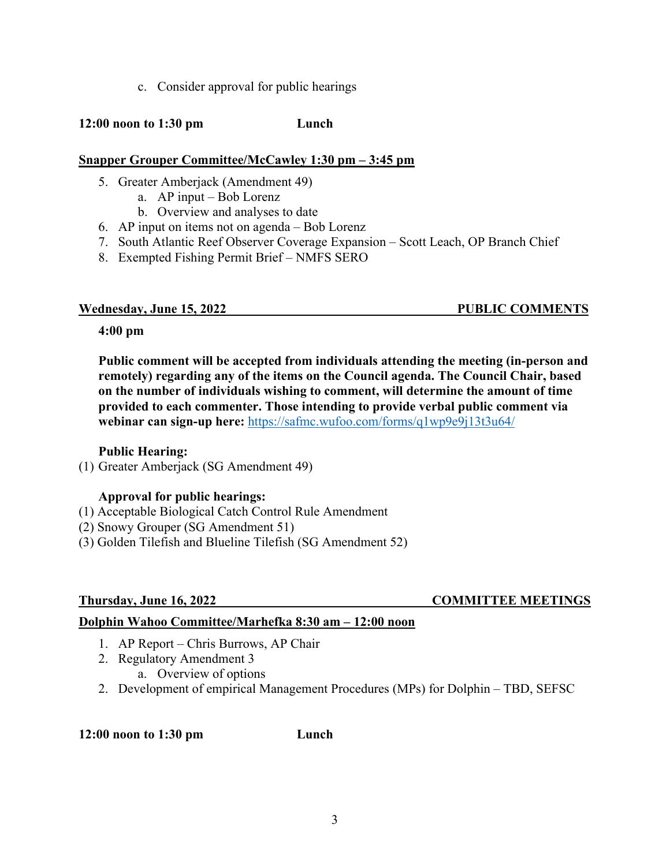c. Consider approval for public hearings

#### **12:00 noon to 1:30 pm Lunch**

#### **Snapper Grouper Committee/McCawley 1:30 pm – 3:45 pm**

- 5. Greater Amberjack (Amendment 49)
	- a. AP input Bob Lorenz
	- b. Overview and analyses to date
- 6. AP input on items not on agenda Bob Lorenz
- 7. South Atlantic Reef Observer Coverage Expansion Scott Leach, OP Branch Chief
- 8. Exempted Fishing Permit Brief NMFS SERO

#### **Wednesday, June 15, 2022 PUBLIC COMMENTS**

#### **4:00 pm**

**Public comment will be accepted from individuals attending the meeting (in-person and remotely) regarding any of the items on the Council agenda. The Council Chair, based on the number of individuals wishing to comment, will determine the amount of time provided to each commenter. Those intending to provide verbal public comment via webinar can sign-up here:** <https://safmc.wufoo.com/forms/q1wp9e9j13t3u64/>

#### **Public Hearing:**

(1) Greater Amberjack (SG Amendment 49)

### **Approval for public hearings:**

- (1) Acceptable Biological Catch Control Rule Amendment
- (2) Snowy Grouper (SG Amendment 51)
- (3) Golden Tilefish and Blueline Tilefish (SG Amendment 52)

### **Thursday, June 16, 2022 COMMITTEE MEETINGS**

### **Dolphin Wahoo Committee/Marhefka 8:30 am – 12:00 noon**

- 1. AP Report Chris Burrows, AP Chair
- 2. Regulatory Amendment 3
	- a. Overview of options
- 2. Development of empirical Management Procedures (MPs) for Dolphin TBD, SEFSC

#### **12:00 noon to 1:30 pm Lunch**